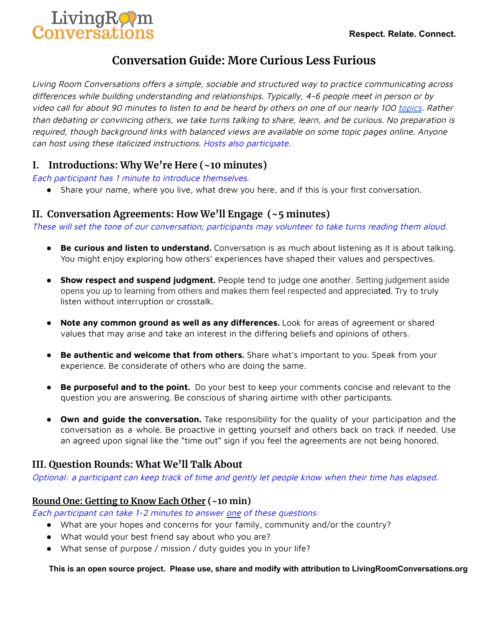

# **Conversation Guide: More Curious Less Furious**

Living Room Conversations offers <sup>a</sup> simple, sociable and structured way to practice communicating across differences while building understanding and relationships. Typically, 4-6 people meet in person or by video call for about 90 minutes to listen to and be heard by others on one of our nearly 100 [topics](https://www.livingroomconversations.org/topics/). Rather than debating or convincing others, we take turns talking to share, learn, and be curious. No preparation is required, though background links with balanced views are available on some topic pages online. Anyone can host using these italicized instructions. Hosts also participate.

# **I. Introductions: Why We're Here (~10 minutes)**

Each participant has 1 minute to introduce themselves.

● Share your name, where you live, what drew you here, and if this is your first conversation.

## **II. Conversation Agreements: How We'll Engage (~5 minutes)**

These will set the tone of our conversation; participants may volunteer to take turns reading them aloud.

- **Be curious and listen to understand.** Conversation is as much about listening as it is about talking. You might enjoy exploring how others' experiences have shaped their values and perspectives.
- **Show respect and suspend judgment.** People tend to judge one another. Setting judgement aside opens you up to learning from others and makes them feel respected and appreciated. Try to truly listen without interruption or crosstalk.
- **Note any common ground as well as any differences.** Look for areas of agreement or shared values that may arise and take an interest in the differing beliefs and opinions of others.
- **Be authentic and welcome that from others.** Share what's important to you. Speak from your experience. Be considerate of others who are doing the same.
- **Be purposeful and to the point.** Do your best to keep your comments concise and relevant to the question you are answering. Be conscious of sharing airtime with other participants.
- **Own and guide the conversation.** Take responsibility for the quality of your participation and the conversation as a whole. Be proactive in getting yourself and others back on track if needed. Use an agreed upon signal like the "time out" sign if you feel the agreements are not being honored.

# **III. Question Rounds: What We'll Talk About**

Optional: <sup>a</sup> participant can keep track of time and gently let people know when their time has elapsed.

#### **Round One: Getting to Know Each Other (~10 min)**

Each participant can take 1-2 minutes to answer one of these questions:

- What are your hopes and concerns for your family, community and/or the country?
- What would your best friend say about who you are?
- What sense of purpose / mission / duty guides you in your life?

**This is an open source project. Please use, share and modify with attribution to [LivingRoomConversations.org](http://www.livingroomconversations.org)**